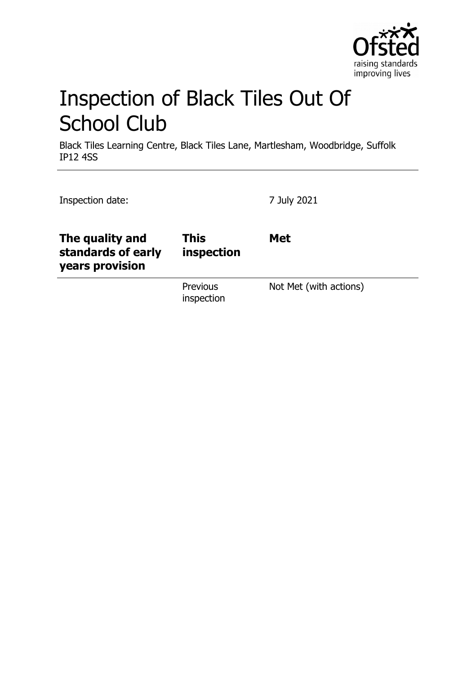

# Inspection of Black Tiles Out Of School Club

Black Tiles Learning Centre, Black Tiles Lane, Martlesham, Woodbridge, Suffolk IP12 4SS

| Inspection date:                                         |                           | 7 July 2021            |  |
|----------------------------------------------------------|---------------------------|------------------------|--|
| The quality and<br>standards of early<br>years provision | <b>This</b><br>inspection | <b>Met</b>             |  |
|                                                          | Previous<br>inspection    | Not Met (with actions) |  |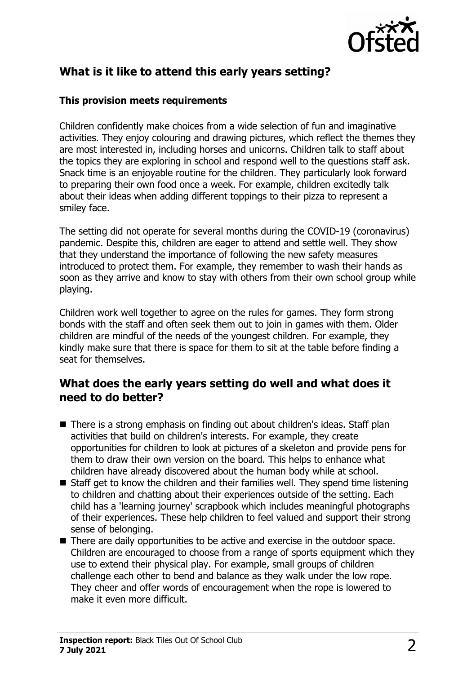

# **What is it like to attend this early years setting?**

#### **This provision meets requirements**

Children confidently make choices from a wide selection of fun and imaginative activities. They enjoy colouring and drawing pictures, which reflect the themes they are most interested in, including horses and unicorns. Children talk to staff about the topics they are exploring in school and respond well to the questions staff ask. Snack time is an enjoyable routine for the children. They particularly look forward to preparing their own food once a week. For example, children excitedly talk about their ideas when adding different toppings to their pizza to represent a smiley face.

The setting did not operate for several months during the COVID-19 (coronavirus) pandemic. Despite this, children are eager to attend and settle well. They show that they understand the importance of following the new safety measures introduced to protect them. For example, they remember to wash their hands as soon as they arrive and know to stay with others from their own school group while playing.

Children work well together to agree on the rules for games. They form strong bonds with the staff and often seek them out to join in games with them. Older children are mindful of the needs of the youngest children. For example, they kindly make sure that there is space for them to sit at the table before finding a seat for themselves.

## **What does the early years setting do well and what does it need to do better?**

- $\blacksquare$  There is a strong emphasis on finding out about children's ideas. Staff plan activities that build on children's interests. For example, they create opportunities for children to look at pictures of a skeleton and provide pens for them to draw their own version on the board. This helps to enhance what children have already discovered about the human body while at school.
- $\blacksquare$  Staff get to know the children and their families well. They spend time listening to children and chatting about their experiences outside of the setting. Each child has a 'learning journey' scrapbook which includes meaningful photographs of their experiences. These help children to feel valued and support their strong sense of belonging.
- $\blacksquare$  There are daily opportunities to be active and exercise in the outdoor space. Children are encouraged to choose from a range of sports equipment which they use to extend their physical play. For example, small groups of children challenge each other to bend and balance as they walk under the low rope. They cheer and offer words of encouragement when the rope is lowered to make it even more difficult.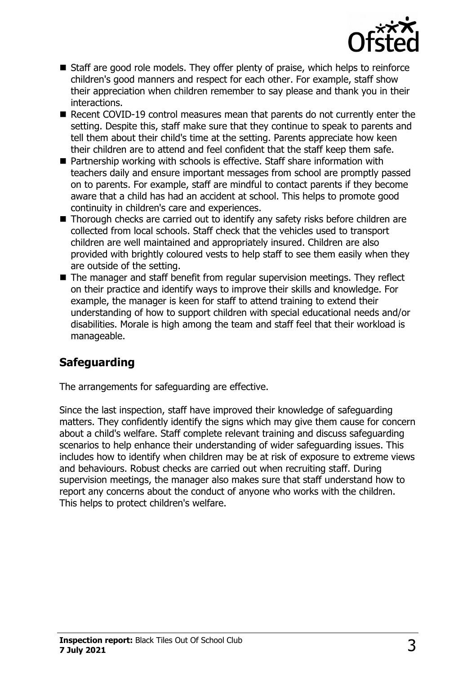

- $\blacksquare$  Staff are good role models. They offer plenty of praise, which helps to reinforce children's good manners and respect for each other. For example, staff show their appreciation when children remember to say please and thank you in their interactions.
- Recent COVID-19 control measures mean that parents do not currently enter the setting. Despite this, staff make sure that they continue to speak to parents and tell them about their child's time at the setting. Parents appreciate how keen their children are to attend and feel confident that the staff keep them safe.
- $\blacksquare$  Partnership working with schools is effective. Staff share information with teachers daily and ensure important messages from school are promptly passed on to parents. For example, staff are mindful to contact parents if they become aware that a child has had an accident at school. This helps to promote good continuity in children's care and experiences.
- $\blacksquare$  Thorough checks are carried out to identify any safety risks before children are collected from local schools. Staff check that the vehicles used to transport children are well maintained and appropriately insured. Children are also provided with brightly coloured vests to help staff to see them easily when they are outside of the setting.
- $\blacksquare$  The manager and staff benefit from regular supervision meetings. They reflect on their practice and identify ways to improve their skills and knowledge. For example, the manager is keen for staff to attend training to extend their understanding of how to support children with special educational needs and/or disabilities. Morale is high among the team and staff feel that their workload is manageable.

# **Safeguarding**

The arrangements for safeguarding are effective.

Since the last inspection, staff have improved their knowledge of safeguarding matters. They confidently identify the signs which may give them cause for concern about a child's welfare. Staff complete relevant training and discuss safeguarding scenarios to help enhance their understanding of wider safeguarding issues. This includes how to identify when children may be at risk of exposure to extreme views and behaviours. Robust checks are carried out when recruiting staff. During supervision meetings, the manager also makes sure that staff understand how to report any concerns about the conduct of anyone who works with the children. This helps to protect children's welfare.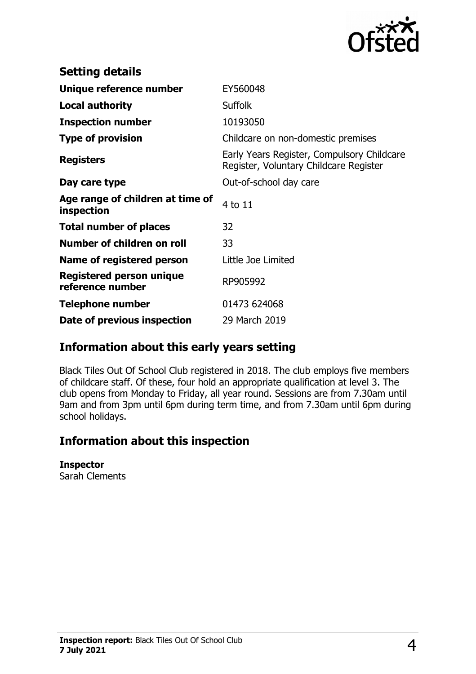

| <b>Setting details</b>                         |                                                                                      |
|------------------------------------------------|--------------------------------------------------------------------------------------|
| Unique reference number                        | EY560048                                                                             |
| <b>Local authority</b>                         | <b>Suffolk</b>                                                                       |
| <b>Inspection number</b>                       | 10193050                                                                             |
| <b>Type of provision</b>                       | Childcare on non-domestic premises                                                   |
| <b>Registers</b>                               | Early Years Register, Compulsory Childcare<br>Register, Voluntary Childcare Register |
| Day care type                                  | Out-of-school day care                                                               |
| Age range of children at time of<br>inspection | 4 to 11                                                                              |
| <b>Total number of places</b>                  | 32                                                                                   |
| Number of children on roll                     | 33                                                                                   |
| Name of registered person                      | Little Joe Limited                                                                   |
| Registered person unique<br>reference number   | RP905992                                                                             |
| Telephone number                               | 01473 624068                                                                         |
| Date of previous inspection                    | 29 March 2019                                                                        |

## **Information about this early years setting**

Black Tiles Out Of School Club registered in 2018. The club employs five members of childcare staff. Of these, four hold an appropriate qualification at level 3. The club opens from Monday to Friday, all year round. Sessions are from 7.30am until 9am and from 3pm until 6pm during term time, and from 7.30am until 6pm during school holidays.

## **Information about this inspection**

#### **Inspector**

Sarah Clements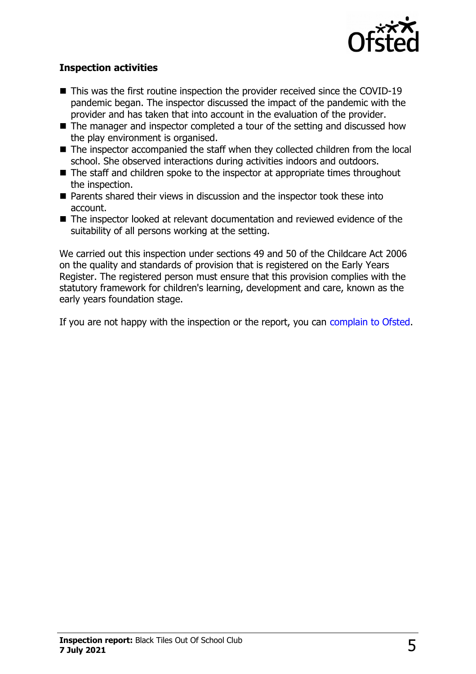

### **Inspection activities**

- $\blacksquare$  This was the first routine inspection the provider received since the COVID-19 pandemic began. The inspector discussed the impact of the pandemic with the provider and has taken that into account in the evaluation of the provider.
- $\blacksquare$  The manager and inspector completed a tour of the setting and discussed how the play environment is organised.
- $\blacksquare$  The inspector accompanied the staff when they collected children from the local school. She observed interactions during activities indoors and outdoors.
- $\blacksquare$  The staff and children spoke to the inspector at appropriate times throughout the inspection.
- $\blacksquare$  Parents shared their views in discussion and the inspector took these into account.
- $\blacksquare$  The inspector looked at relevant documentation and reviewed evidence of the suitability of all persons working at the setting.

We carried out this inspection under sections 49 and 50 of the Childcare Act 2006 on the quality and standards of provision that is registered on the Early Years Register. The registered person must ensure that this provision complies with the statutory framework for children's learning, development and care, known as the early years foundation stage.

If you are not happy with the inspection or the report, you can [complain to Ofsted.](http://www.gov.uk/complain-ofsted-report)